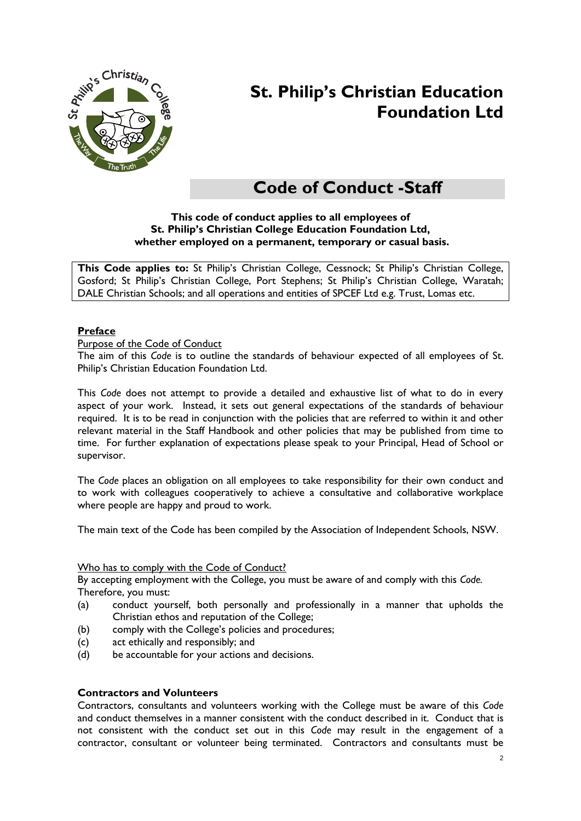

# **St. Philip's Christian Education Foundation Ltd**

# **Code of Conduct -Staff**

## **This code of conduct applies to all employees of St. Philip's Christian College Education Foundation Ltd, whether employed on a permanent, temporary or casual basis.**

**This Code applies to:** St Philip's Christian College, Cessnock; St Philip's Christian College, Gosford; St Philip's Christian College, Port Stephens; St Philip's Christian College, Waratah; DALE Christian Schools; and all operations and entities of SPCEF Ltd e.g. Trust, Lomas etc.

# **Preface**

#### Purpose of the Code of Conduct

The aim of this *Code* is to outline the standards of behaviour expected of all employees of St. Philip's Christian Education Foundation Ltd.

This *Code* does not attempt to provide a detailed and exhaustive list of what to do in every aspect of your work. Instead, it sets out general expectations of the standards of behaviour required. It is to be read in conjunction with the policies that are referred to within it and other relevant material in the Staff Handbook and other policies that may be published from time to time. For further explanation of expectations please speak to your Principal, Head of School or supervisor.

The *Code* places an obligation on all employees to take responsibility for their own conduct and to work with colleagues cooperatively to achieve a consultative and collaborative workplace where people are happy and proud to work.

The main text of the Code has been compiled by the Association of Independent Schools, NSW.

#### Who has to comply with the Code of Conduct?

By accepting employment with the College, you must be aware of and comply with this *Code.* Therefore, you must:

- (a) conduct yourself, both personally and professionally in a manner that upholds the Christian ethos and reputation of the College;
- (b) comply with the College's policies and procedures;
- (c) act ethically and responsibly; and
- (d) be accountable for your actions and decisions.

# **Contractors and Volunteers**

Contractors, consultants and volunteers working with the College must be aware of this *Code*  and conduct themselves in a manner consistent with the conduct described in it. Conduct that is not consistent with the conduct set out in this *Code* may result in the engagement of a contractor, consultant or volunteer being terminated. Contractors and consultants must be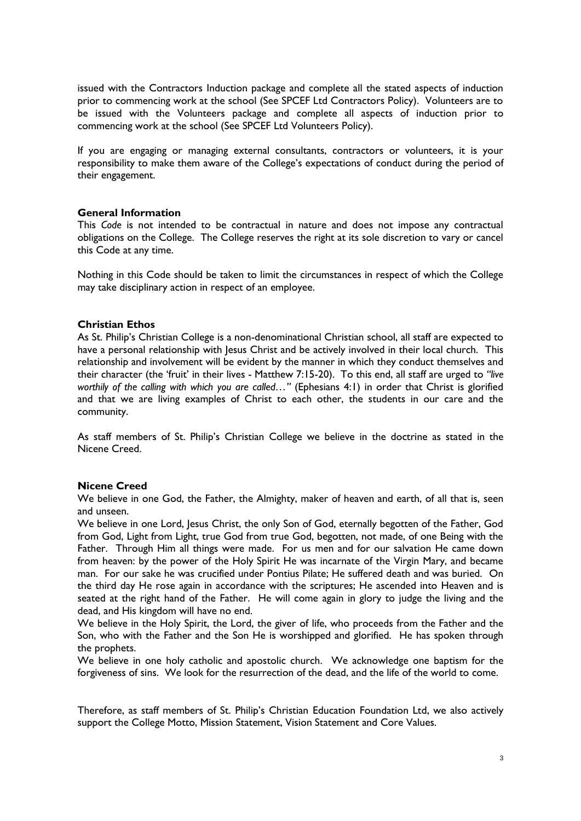issued with the Contractors Induction package and complete all the stated aspects of induction prior to commencing work at the school (See SPCEF Ltd Contractors Policy). Volunteers are to be issued with the Volunteers package and complete all aspects of induction prior to commencing work at the school (See SPCEF Ltd Volunteers Policy).

If you are engaging or managing external consultants, contractors or volunteers, it is your responsibility to make them aware of the College's expectations of conduct during the period of their engagement.

## **General Information**

This *Code* is not intended to be contractual in nature and does not impose any contractual obligations on the College. The College reserves the right at its sole discretion to vary or cancel this Code at any time.

Nothing in this Code should be taken to limit the circumstances in respect of which the College may take disciplinary action in respect of an employee.

#### **Christian Ethos**

As St. Philip's Christian College is a non-denominational Christian school, all staff are expected to have a personal relationship with Jesus Christ and be actively involved in their local church. This relationship and involvement will be evident by the manner in which they conduct themselves and their character (the 'fruit' in their lives - Matthew 7:15-20). To this end, all staff are urged to *"live worthily of the calling with which you are called…"* (Ephesians 4:1) in order that Christ is glorified and that we are living examples of Christ to each other, the students in our care and the community.

As staff members of St. Philip's Christian College we believe in the doctrine as stated in the Nicene Creed.

# **Nicene Creed**

We believe in one God, the Father, the Almighty, maker of heaven and earth, of all that is, seen and unseen.

We believe in one Lord, Jesus Christ, the only Son of God, eternally begotten of the Father, God from God, Light from Light, true God from true God, begotten, not made, of one Being with the Father. Through Him all things were made. For us men and for our salvation He came down from heaven: by the power of the Holy Spirit He was incarnate of the Virgin Mary, and became man. For our sake he was crucified under Pontius Pilate; He suffered death and was buried. On the third day He rose again in accordance with the scriptures; He ascended into Heaven and is seated at the right hand of the Father. He will come again in glory to judge the living and the dead, and His kingdom will have no end.

We believe in the Holy Spirit, the Lord, the giver of life, who proceeds from the Father and the Son, who with the Father and the Son He is worshipped and glorified. He has spoken through the prophets.

We believe in one holy catholic and apostolic church. We acknowledge one baptism for the forgiveness of sins. We look for the resurrection of the dead, and the life of the world to come.

Therefore, as staff members of St. Philip's Christian Education Foundation Ltd, we also actively support the College Motto, Mission Statement, Vision Statement and Core Values.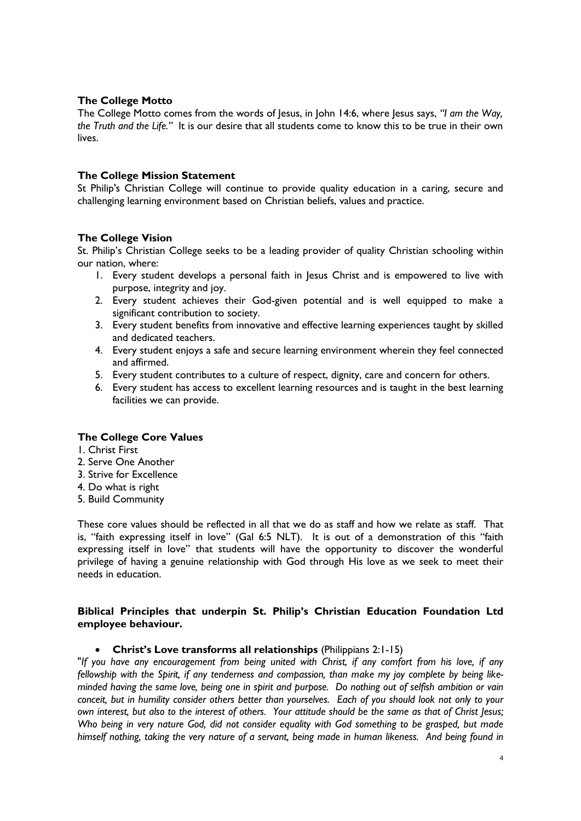## **The College Motto**

The College Motto comes from the words of Jesus, in John 14:6, where Jesus says, *"I am the Way, the Truth and the Life."* It is our desire that all students come to know this to be true in their own lives.

## **The College Mission Statement**

St Philip's Christian College will continue to provide quality education in a caring, secure and challenging learning environment based on Christian beliefs, values and practice.

# **The College Vision**

St. Philip's Christian College seeks to be a leading provider of quality Christian schooling within our nation, where:

- 1. Every student develops a personal faith in Jesus Christ and is empowered to live with purpose, integrity and joy.
- 2. Every student achieves their God-given potential and is well equipped to make a significant contribution to society.
- 3. Every student benefits from innovative and effective learning experiences taught by skilled and dedicated teachers.
- 4. Every student enjoys a safe and secure learning environment wherein they feel connected and affirmed.
- 5. Every student contributes to a culture of respect, dignity, care and concern for others.
- 6. Every student has access to excellent learning resources and is taught in the best learning facilities we can provide.

#### **The College Core Values**

- 1. Christ First
- 2. Serve One Another
- 3. Strive for Excellence
- 4. Do what is right
- 5. Build Community

These core values should be reflected in all that we do as staff and how we relate as staff. That is, "faith expressing itself in love" (Gal 6:5 NLT). It is out of a demonstration of this "faith expressing itself in love" that students will have the opportunity to discover the wonderful privilege of having a genuine relationship with God through His love as we seek to meet their needs in education.

#### **Biblical Principles that underpin St. Philip's Christian Education Foundation Ltd employee behaviour.**

#### **Christ's Love transforms all relationships** (Philippians 2:1-15)

"*If you have any encouragement from being united with Christ, if any comfort from his love, if any fellowship with the Spirit, if any tenderness and compassion, than make my joy complete by being likeminded having the same love, being one in spirit and purpose. Do nothing out of selfish ambition or vain conceit, but in humility consider others better than yourselves. Each of you should look not only to your own interest, but also to the interest of others. Your attitude should be the same as that of Christ Jesus; Who being in very nature God, did not consider equality with God something to be grasped, but made himself nothing, taking the very nature of a servant, being made in human likeness. And being found in*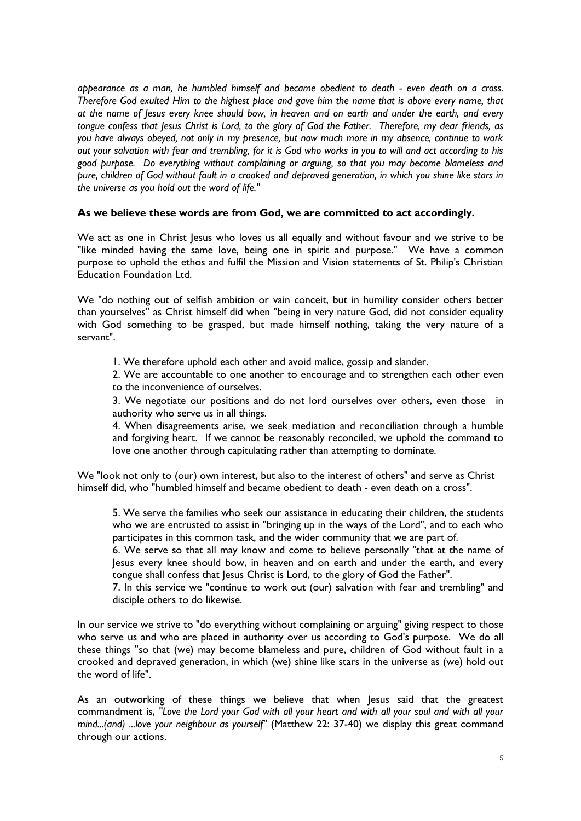*appearance as a man, he humbled himself and became obedient to death - even death on a cross. Therefore God exulted Him to the highest place and gave him the name that is above every name, that at the name of Jesus every knee should bow, in heaven and on earth and under the earth, and every tongue confess that Jesus Christ is Lord, to the glory of God the Father. Therefore, my dear friends, as you have always obeyed, not only in my presence, but now much more in my absence, continue to work out your salvation with fear and trembling, for it is God who works in you to will and act according to his good purpose. Do everything without complaining or arguing, so that you may become blameless and pure, children of God without fault in a crooked and depraved generation, in which you shine like stars in the universe as you hold out the word of life."*

#### **As we believe these words are from God, we are committed to act accordingly.**

We act as one in Christ Jesus who loves us all equally and without favour and we strive to be "like minded having the same love, being one in spirit and purpose." We have a common purpose to uphold the ethos and fulfil the Mission and Vision statements of St. Philip's Christian Education Foundation Ltd.

We "do nothing out of selfish ambition or vain conceit, but in humility consider others better than yourselves" as Christ himself did when "being in very nature God, did not consider equality with God something to be grasped, but made himself nothing, taking the very nature of a servant".

1. We therefore uphold each other and avoid malice, gossip and slander.

2. We are accountable to one another to encourage and to strengthen each other even to the inconvenience of ourselves.

3. We negotiate our positions and do not lord ourselves over others, even those in authority who serve us in all things.

4. When disagreements arise, we seek mediation and reconciliation through a humble and forgiving heart. If we cannot be reasonably reconciled, we uphold the command to love one another through capitulating rather than attempting to dominate.

We "look not only to (our) own interest, but also to the interest of others" and serve as Christ himself did, who "humbled himself and became obedient to death - even death on a cross".

5. We serve the families who seek our assistance in educating their children, the students who we are entrusted to assist in "bringing up in the ways of the Lord", and to each who participates in this common task, and the wider community that we are part of.

6. We serve so that all may know and come to believe personally "that at the name of Jesus every knee should bow, in heaven and on earth and under the earth, and every tongue shall confess that Jesus Christ is Lord, to the glory of God the Father".

7. In this service we "continue to work out (our) salvation with fear and trembling" and disciple others to do likewise.

In our service we strive to "do everything without complaining or arguing" giving respect to those who serve us and who are placed in authority over us according to God's purpose. We do all these things "so that (we) may become blameless and pure, children of God without fault in a crooked and depraved generation, in which (we) shine like stars in the universe as (we) hold out the word of life".

As an outworking of these things we believe that when Jesus said that the greatest commandment is, *"Love the Lord your God with all your heart and with all your soul and with all your mind...(and) ...love your neighbour as yourself"* (Matthew 22: 37-40) we display this great command through our actions.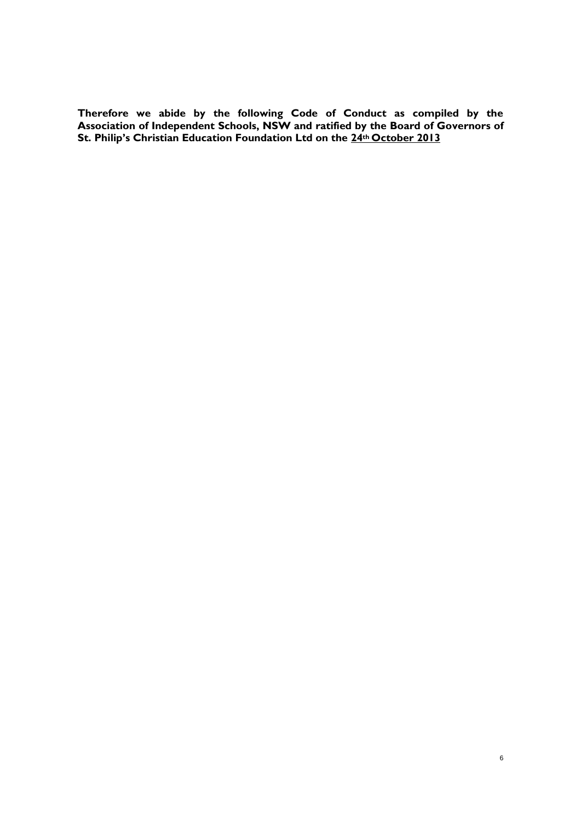**Therefore we abide by the following Code of Conduct as compiled by the Association of Independent Schools, NSW and ratified by the Board of Governors of St. Philip's Christian Education Foundation Ltd on the 24th October 2013**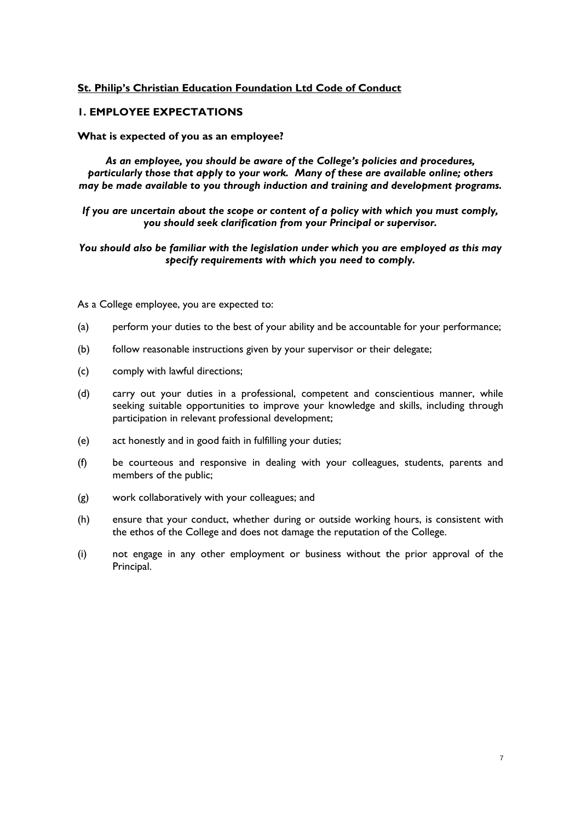# **St. Philip's Christian Education Foundation Ltd Code of Conduct**

#### **1. EMPLOYEE EXPECTATIONS**

#### **What is expected of you as an employee?**

*As an employee, you should be aware of the College's policies and procedures, particularly those that apply to your work. Many of these are available online; others may be made available to you through induction and training and development programs.*

#### *If you are uncertain about the scope or content of a policy with which you must comply, you should seek clarification from your Principal or supervisor.*

#### *You should also be familiar with the legislation under which you are employed as this may specify requirements with which you need to comply.*

As a College employee, you are expected to:

- (a) perform your duties to the best of your ability and be accountable for your performance;
- (b) follow reasonable instructions given by your supervisor or their delegate;
- (c) comply with lawful directions;
- (d) carry out your duties in a professional, competent and conscientious manner, while seeking suitable opportunities to improve your knowledge and skills, including through participation in relevant professional development;
- (e) act honestly and in good faith in fulfilling your duties;
- (f) be courteous and responsive in dealing with your colleagues, students, parents and members of the public;
- (g) work collaboratively with your colleagues; and
- (h) ensure that your conduct, whether during or outside working hours, is consistent with the ethos of the College and does not damage the reputation of the College.
- (i) not engage in any other employment or business without the prior approval of the Principal.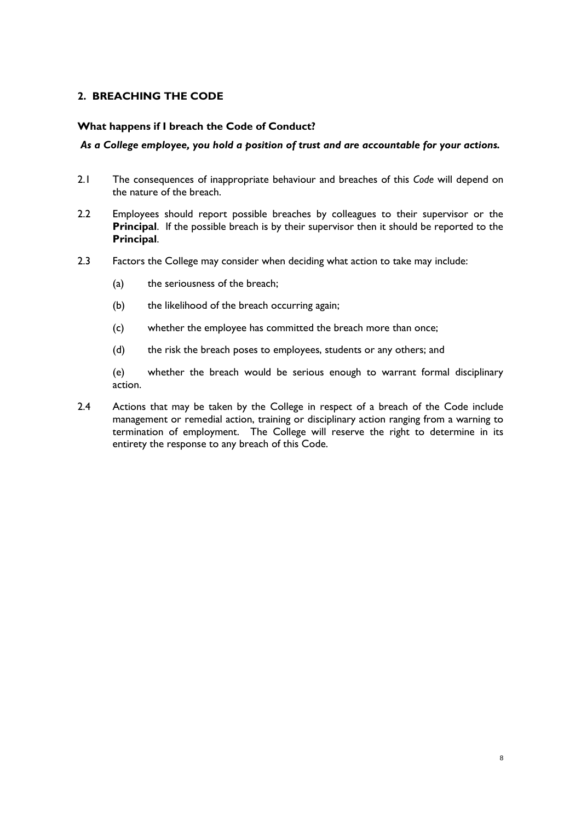# **2. BREACHING THE CODE**

# **What happens if I breach the Code of Conduct?**

#### *As a College employee, you hold a position of trust and are accountable for your actions.*

- 2.1 The consequences of inappropriate behaviour and breaches of this *Code* will depend on the nature of the breach.
- 2.2 Employees should report possible breaches by colleagues to their supervisor or the **Principal**. If the possible breach is by their supervisor then it should be reported to the **Principal**.
- 2.3 Factors the College may consider when deciding what action to take may include:
	- (a) the seriousness of the breach;
	- (b) the likelihood of the breach occurring again;
	- (c) whether the employee has committed the breach more than once;
	- (d) the risk the breach poses to employees, students or any others; and

(e) whether the breach would be serious enough to warrant formal disciplinary action.

2.4 Actions that may be taken by the College in respect of a breach of the Code include management or remedial action, training or disciplinary action ranging from a warning to termination of employment. The College will reserve the right to determine in its entirety the response to any breach of this Code.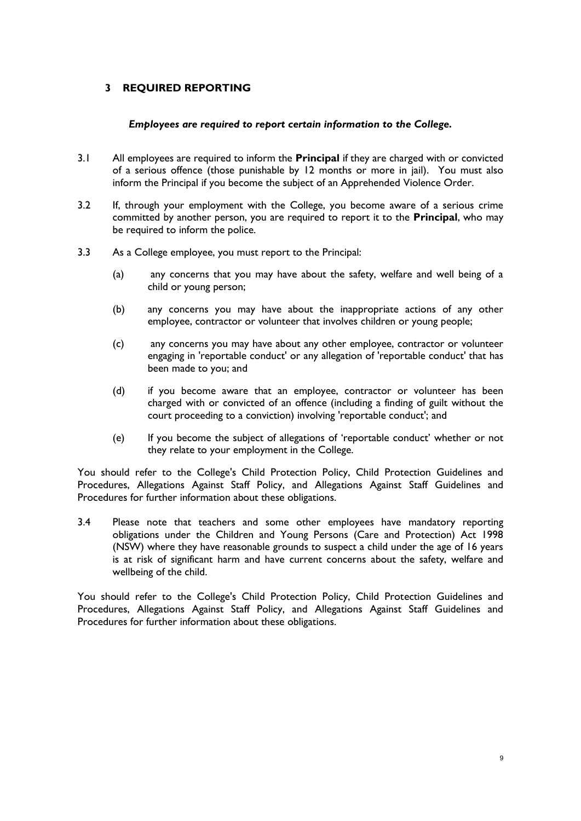# **3 REQUIRED REPORTING**

#### *Employees are required to report certain information to the College.*

- 3.1 All employees are required to inform the **Principal** if they are charged with or convicted of a serious offence (those punishable by 12 months or more in jail). You must also inform the Principal if you become the subject of an Apprehended Violence Order.
- 3.2 If, through your employment with the College, you become aware of a serious crime committed by another person, you are required to report it to the **Principal**, who may be required to inform the police.
- 3.3 As a College employee, you must report to the Principal:
	- (a) any concerns that you may have about the safety, welfare and well being of a child or young person;
	- (b) any concerns you may have about the inappropriate actions of any other employee, contractor or volunteer that involves children or young people;
	- (c) any concerns you may have about any other employee, contractor or volunteer engaging in 'reportable conduct' or any allegation of 'reportable conduct' that has been made to you; and
	- (d) if you become aware that an employee, contractor or volunteer has been charged with or convicted of an offence (including a finding of guilt without the court proceeding to a conviction) involving 'reportable conduct'; and
	- (e) If you become the subject of allegations of 'reportable conduct' whether or not they relate to your employment in the College.

You should refer to the College's Child Protection Policy, Child Protection Guidelines and Procedures, Allegations Against Staff Policy, and Allegations Against Staff Guidelines and Procedures for further information about these obligations.

3.4 Please note that teachers and some other employees have mandatory reporting obligations under the Children and Young Persons (Care and Protection) Act 1998 (NSW) where they have reasonable grounds to suspect a child under the age of 16 years is at risk of significant harm and have current concerns about the safety, welfare and wellbeing of the child.

You should refer to the College's Child Protection Policy, Child Protection Guidelines and Procedures, Allegations Against Staff Policy, and Allegations Against Staff Guidelines and Procedures for further information about these obligations.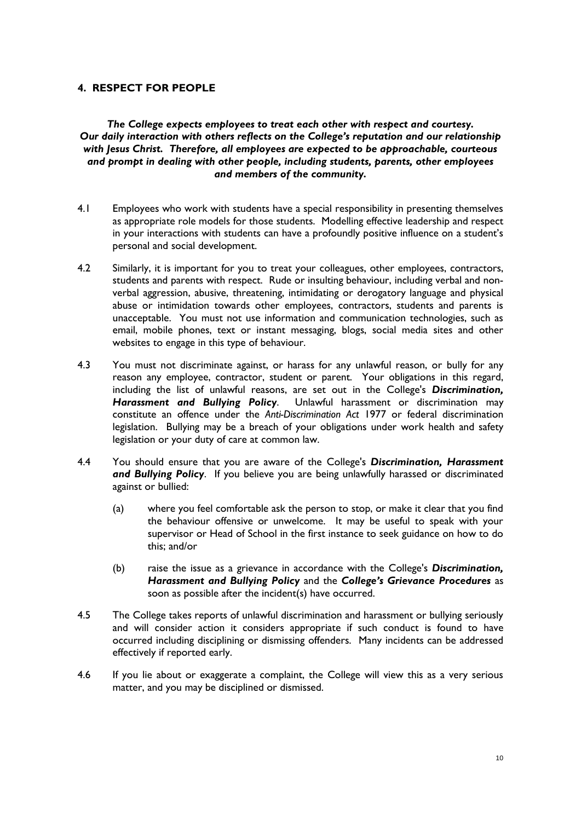# **4. RESPECT FOR PEOPLE**

*The College expects employees to treat each other with respect and courtesy. Our daily interaction with others reflects on the College's reputation and our relationship with Jesus Christ. Therefore, all employees are expected to be approachable, courteous and prompt in dealing with other people, including students, parents, other employees and members of the community.*

- 4.1 Employees who work with students have a special responsibility in presenting themselves as appropriate role models for those students. Modelling effective leadership and respect in your interactions with students can have a profoundly positive influence on a student's personal and social development.
- 4.2 Similarly, it is important for you to treat your colleagues, other employees, contractors, students and parents with respect. Rude or insulting behaviour, including verbal and nonverbal aggression, abusive, threatening, intimidating or derogatory language and physical abuse or intimidation towards other employees, contractors, students and parents is unacceptable. You must not use information and communication technologies, such as email, mobile phones, text or instant messaging, blogs, social media sites and other websites to engage in this type of behaviour.
- 4.3 You must not discriminate against, or harass for any unlawful reason, or bully for any reason any employee, contractor, student or parent. Your obligations in this regard, including the list of unlawful reasons, are set out in the College's *Discrimination, Harassment and Bullying Policy*. Unlawful harassment or discrimination may constitute an offence under the *[Anti-Discrimination Act](http://www.legislation.nsw.gov.au/scanview/inforce/s/1/?TITLE=%22Anti-Discrimination%20Act%201977%20No%2048%22&nohits=y48)* 1977 or federal discrimination legislation. Bullying may be a breach of your obligations under work health and safety legislation or your duty of care at common law.
- 4.4 You should ensure that you are aware of the College's *Discrimination, Harassment and Bullying Policy*. If you believe you are being unlawfully harassed or discriminated against or bullied:
	- (a) where you feel comfortable ask the person to stop, or make it clear that you find the behaviour offensive or unwelcome. It may be useful to speak with your supervisor or Head of School in the first instance to seek guidance on how to do this; and/or
	- (b) raise the issue as a grievance in accordance with the College's *Discrimination, Harassment and Bullying Policy* and the *College's Grievance Procedures* as soon as possible after the incident(s) have occurred.
- 4.5 The College takes reports of unlawful discrimination and harassment or bullying seriously and will consider action it considers appropriate if such conduct is found to have occurred including disciplining or dismissing offenders. Many incidents can be addressed effectively if reported early.
- 4.6 If you lie about or exaggerate a complaint, the College will view this as a very serious matter, and you may be disciplined or dismissed.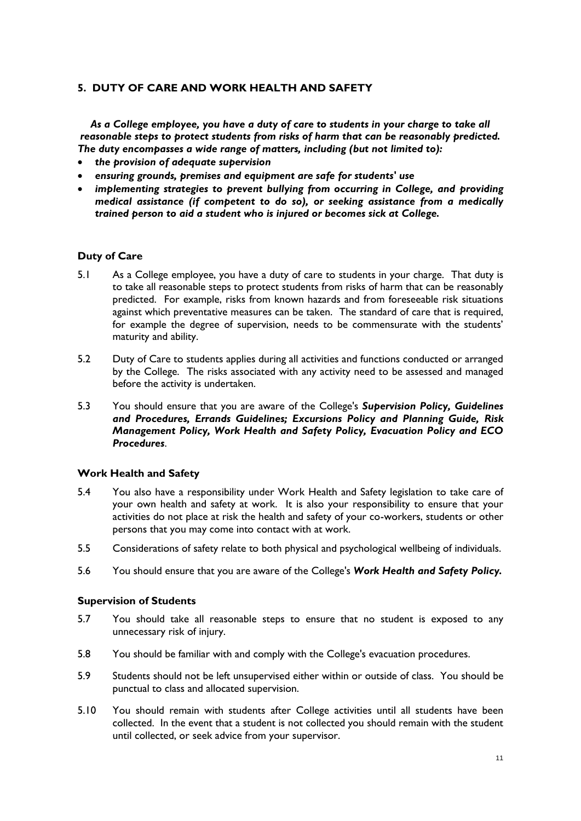# **5. DUTY OF CARE AND WORK HEALTH AND SAFETY**

*As a College employee, you have a duty of care to students in your charge to take all reasonable steps to protect students from risks of harm that can be reasonably predicted. The duty encompasses a wide range of matters, including (but not limited to):*

- *the provision of adequate supervision*
- *ensuring grounds, premises and equipment are safe for students' use*
- *implementing strategies to prevent bullying from occurring in College, and providing medical assistance (if competent to do so), or seeking assistance from a medically trained person to aid a student who is injured or becomes sick at College.*

## **Duty of Care**

- 5.1 As a College employee, you have a duty of care to students in your charge. That duty is to take all reasonable steps to protect students from risks of harm that can be reasonably predicted. For example, risks from known hazards and from foreseeable risk situations against which preventative measures can be taken. The standard of care that is required, for example the degree of supervision, needs to be commensurate with the students' maturity and ability.
- 5.2 Duty of Care to students applies during all activities and functions conducted or arranged by the College. The risks associated with any activity need to be assessed and managed before the activity is undertaken.
- 5.3 You should ensure that you are aware of the College's *Supervision Policy, Guidelines and Procedures, Errands Guidelines; Excursions Policy and Planning Guide, Risk Management Policy, Work Health and Safety Policy, Evacuation Policy and ECO Procedures*.

#### **Work Health and Safety**

- 5.4 You also have a responsibility under Work Health and Safety legislation to take care of your own health and safety at work. It is also your responsibility to ensure that your activities do not place at risk the health and safety of your co-workers, students or other persons that you may come into contact with at work.
- 5.5 Considerations of safety relate to both physical and psychological wellbeing of individuals.
- 5.6 You should ensure that you are aware of the College's *Work Health and Safety Policy.*

#### **Supervision of Students**

- 5.7 You should take all reasonable steps to ensure that no student is exposed to any unnecessary risk of injury.
- 5.8 You should be familiar with and comply with the College's evacuation procedures.
- 5.9 Students should not be left unsupervised either within or outside of class. You should be punctual to class and allocated supervision.
- 5.10 You should remain with students after College activities until all students have been collected. In the event that a student is not collected you should remain with the student until collected, or seek advice from your supervisor.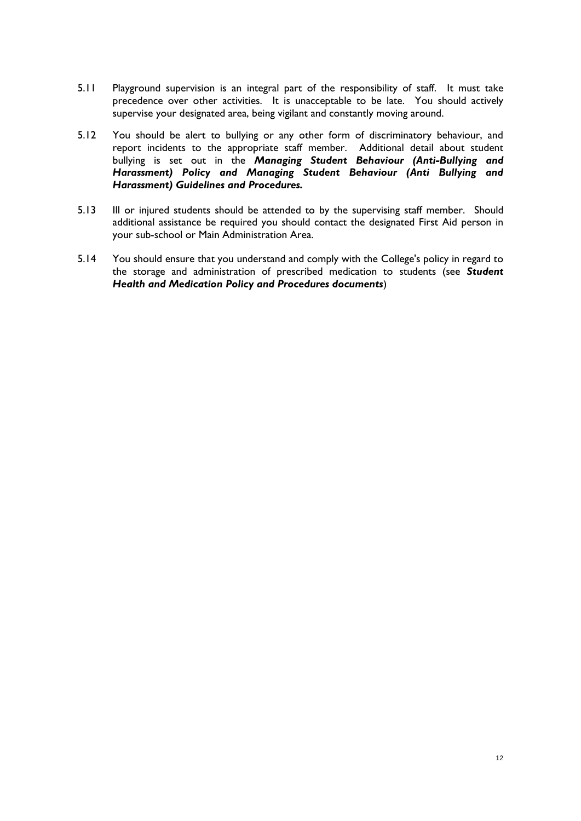- 5.11 Playground supervision is an integral part of the responsibility of staff. It must take precedence over other activities. It is unacceptable to be late. You should actively supervise your designated area, being vigilant and constantly moving around.
- 5.12 You should be alert to bullying or any other form of discriminatory behaviour, and report incidents to the appropriate staff member. Additional detail about student bullying is set out in the *Managing Student Behaviour (Anti-Bullying and Harassment) Policy and Managing Student Behaviour (Anti Bullying and Harassment) Guidelines and Procedures.*
- 5.13 Ill or injured students should be attended to by the supervising staff member. Should additional assistance be required you should contact the designated First Aid person in your sub-school or Main Administration Area.
- 5.14 You should ensure that you understand and comply with the College's policy in regard to the storage and administration of prescribed medication to students (see *Student Health and Medication Policy and Procedures documents*)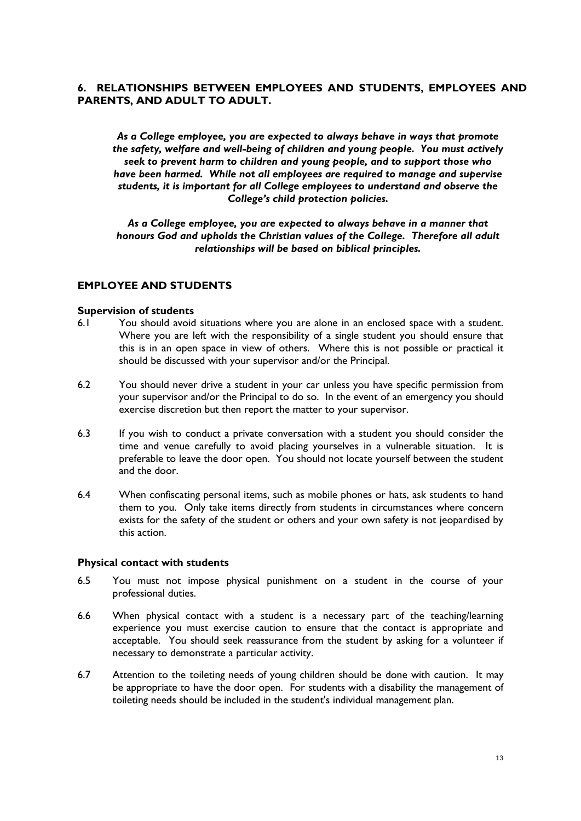# **6. RELATIONSHIPS BETWEEN EMPLOYEES AND STUDENTS, EMPLOYEES AND PARENTS, AND ADULT TO ADULT.**

*As a College employee, you are expected to always behave in ways that promote the safety, welfare and well-being of children and young people. You must actively seek to prevent harm to children and young people, and to support those who have been harmed. While not all employees are required to manage and supervise students, it is important for all College employees to understand and observe the [College's child protection policies](https://www.det.nsw.edu.au/policiesinter/category/search.do;jsessionid=996b1e21bc27d844859b076404e91c6a52b3e8a22d7.e34Sa3ePc30Sbi0LbxuPax0KbxuSe0;jsessionid=996b1e21bc27d844859b076404e91c6a52b3e8a22d7.e34Sa3ePc30Sbi0LbxuPax0KbxuSe0?level=Schools&categories=Schools|Wellbeing|Child+protection).*

*As a College employee, you are expected to always behave in a manner that honours God and upholds the Christian values of the College. Therefore all adult relationships will be based on biblical principles.*

# **EMPLOYEE AND STUDENTS**

#### **Supervision of students**

- 6.1 You should avoid situations where you are alone in an enclosed space with a student. Where you are left with the responsibility of a single student you should ensure that this is in an open space in view of others. Where this is not possible or practical it should be discussed with your supervisor and/or the Principal.
- 6.2 You should never drive a student in your car unless you have specific permission from your supervisor and/or the Principal to do so. In the event of an emergency you should exercise discretion but then report the matter to your supervisor.
- 6.3 If you wish to conduct a private conversation with a student you should consider the time and venue carefully to avoid placing yourselves in a vulnerable situation. It is preferable to leave the door open. You should not locate yourself between the student and the door.
- 6.4 When confiscating personal items, such as mobile phones or hats, ask students to hand them to you. Only take items directly from students in circumstances where concern exists for the safety of the student or others and your own safety is not jeopardised by this action.

#### **Physical contact with students**

- 6.5 You must not impose physical punishment on a student in the course of your professional duties.
- 6.6 When physical contact with a student is a necessary part of the teaching/learning experience you must exercise caution to ensure that the contact is appropriate and acceptable. You should seek reassurance from the student by asking for a volunteer if necessary to demonstrate a particular activity.
- 6.7 Attention to the toileting needs of young children should be done with caution. It may be appropriate to have the door open. For students with a disability the management of toileting needs should be included in the student's individual management plan.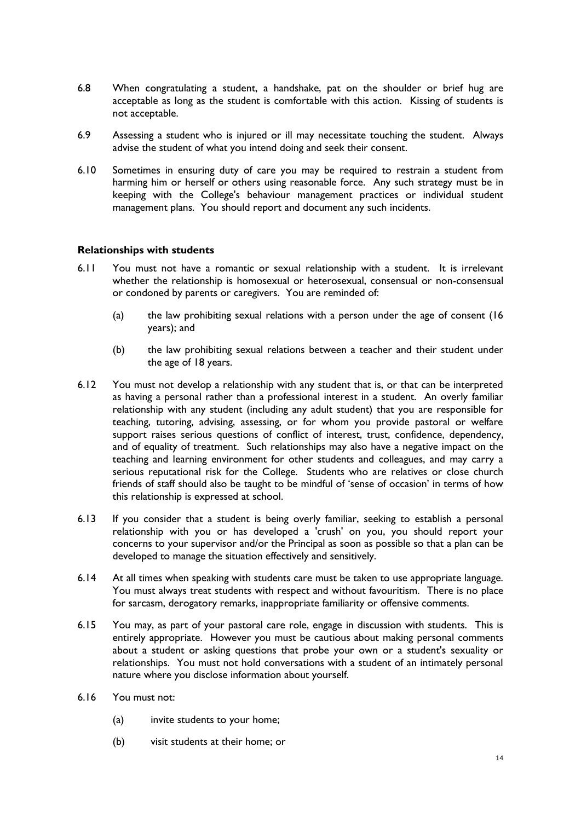- 6.8 When congratulating a student, a handshake, pat on the shoulder or brief hug are acceptable as long as the student is comfortable with this action. Kissing of students is not acceptable.
- 6.9 Assessing a student who is injured or ill may necessitate touching the student. Always advise the student of what you intend doing and seek their consent.
- 6.10 Sometimes in ensuring duty of care you may be required to restrain a student from harming him or herself or others using reasonable force. Any such strategy must be in keeping with the College's behaviour management practices or individual student management plans. You should report and document any such incidents.

## **Relationships with students**

- 6.11 You must not have a romantic or sexual relationship with a student. It is irrelevant whether the relationship is homosexual or heterosexual, consensual or non-consensual or condoned by parents or caregivers. You are reminded of:
	- (a) the law prohibiting sexual relations with a person under the age of consent (16 years); and
	- (b) the law prohibiting sexual relations between a teacher and their student under the age of 18 years.
- 6.12 You must not develop a relationship with any student that is, or that can be interpreted as having a personal rather than a professional interest in a student. An overly familiar relationship with any student (including any adult student) that you are responsible for teaching, tutoring, advising, assessing, or for whom you provide pastoral or welfare support raises serious questions of conflict of interest, trust, confidence, dependency, and of equality of treatment. Such relationships may also have a negative impact on the teaching and learning environment for other students and colleagues, and may carry a serious reputational risk for the College. Students who are relatives or close church friends of staff should also be taught to be mindful of 'sense of occasion' in terms of how this relationship is expressed at school.
- 6.13 If you consider that a student is being overly familiar, seeking to establish a personal relationship with you or has developed a 'crush' on you, you should report your concerns to your supervisor and/or the Principal as soon as possible so that a plan can be developed to manage the situation effectively and sensitively.
- 6.14 At all times when speaking with students care must be taken to use appropriate language. You must always treat students with respect and without favouritism. There is no place for sarcasm, derogatory remarks, inappropriate familiarity or offensive comments.
- 6.15 You may, as part of your pastoral care role, engage in discussion with students. This is entirely appropriate. However you must be cautious about making personal comments about a student or asking questions that probe your own or a student's sexuality or relationships. You must not hold conversations with a student of an intimately personal nature where you disclose information about yourself.
- 6.16 You must not:
	- (a) invite students to your home;
	- (b) visit students at their home; or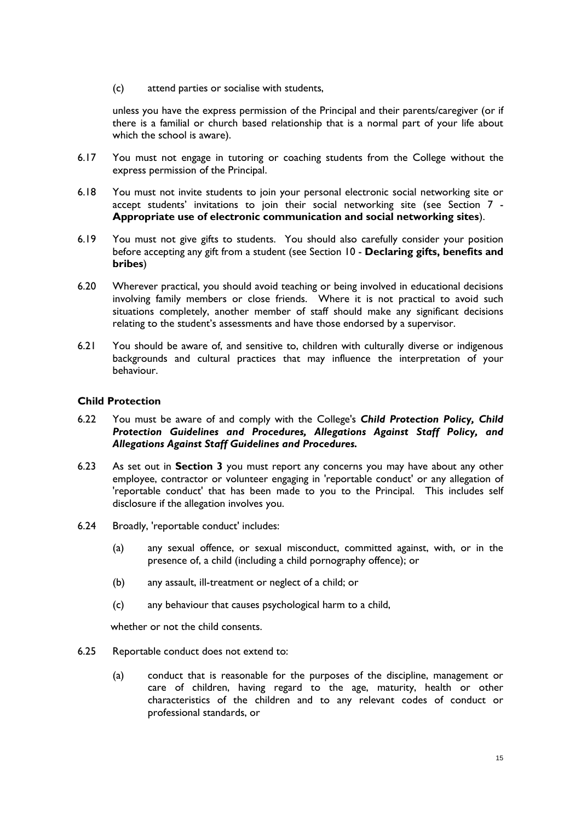(c) attend parties or socialise with students,

unless you have the express permission of the Principal and their parents/caregiver (or if there is a familial or church based relationship that is a normal part of your life about which the school is aware).

- 6.17 You must not engage in tutoring or coaching students from the College without the express permission of the Principal.
- 6.18 You must not invite students to join your personal electronic social networking site or accept students' invitations to join their social networking site (see Section 7 - **Appropriate use of electronic communication and social networking sites**).
- 6.19 You must not give gifts to students. You should also carefully consider your position before accepting any gift from a student (see Section 10 - **Declaring gifts, benefits and bribes**)
- 6.20 Wherever practical, you should avoid teaching or being involved in educational decisions involving family members or close friends. Where it is not practical to avoid such situations completely, another member of staff should make any significant decisions relating to the student's assessments and have those endorsed by a supervisor.
- 6.21 You should be aware of, and sensitive to, children with culturally diverse or indigenous backgrounds and cultural practices that may influence the interpretation of your behaviour.

# **Child Protection**

- 6.22 You must be aware of and comply with the College's *Child Protection Policy, Child Protection Guidelines and Procedures, Allegations Against Staff Policy, and Allegations Against Staff Guidelines and Procedures.*
- 6.23 As set out in **Section 3** you must report any concerns you may have about any other employee, contractor or volunteer engaging in 'reportable conduct' or any allegation of 'reportable conduct' that has been made to you to the Principal. This includes self disclosure if the allegation involves you.
- 6.24 Broadly, 'reportable conduct' includes:
	- (a) any sexual offence, or sexual misconduct, committed against, with, or in the presence of, a child (including a child pornography offence); or
	- (b) any assault, ill-treatment or neglect of a child; or
	- (c) any behaviour that causes psychological harm to a child,

whether or not the child consents.

- 6.25 Reportable conduct does not extend to:
	- (a) conduct that is reasonable for the purposes of the discipline, management or care of children, having regard to the age, maturity, health or other characteristics of the children and to any relevant codes of conduct or professional standards, or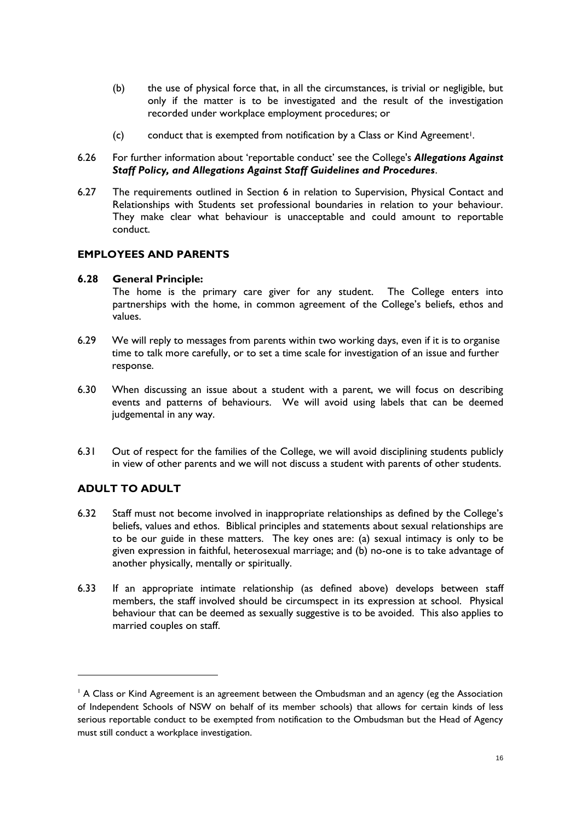- (b) the use of physical force that, in all the circumstances, is trivial or negligible, but only if the matter is to be investigated and the result of the investigation recorded under workplace employment procedures; or
- (c) conduct that is exempted from notification by a Class or Kind Agreement<sup>1</sup>.
- 6.26 For further information about 'reportable conduct' see the College's *Allegations Against Staff Policy, and Allegations Against Staff Guidelines and Procedures*.
- 6.27 The requirements outlined in Section 6 in relation to Supervision, Physical Contact and Relationships with Students set professional boundaries in relation to your behaviour. They make clear what behaviour is unacceptable and could amount to reportable conduct.

# **EMPLOYEES AND PARENTS**

## **6.28 General Principle:**

The home is the primary care giver for any student. The College enters into partnerships with the home, in common agreement of the College's beliefs, ethos and values.

- 6.29 We will reply to messages from parents within two working days, even if it is to organise time to talk more carefully, or to set a time scale for investigation of an issue and further response.
- 6.30 When discussing an issue about a student with a parent, we will focus on describing events and patterns of behaviours. We will avoid using labels that can be deemed judgemental in any way.
- 6.31 Out of respect for the families of the College, we will avoid disciplining students publicly in view of other parents and we will not discuss a student with parents of other students.

# **ADULT TO ADULT**

-

- 6.32 Staff must not become involved in inappropriate relationships as defined by the College's beliefs, values and ethos. Biblical principles and statements about sexual relationships are to be our guide in these matters. The key ones are: (a) sexual intimacy is only to be given expression in faithful, heterosexual marriage; and (b) no-one is to take advantage of another physically, mentally or spiritually.
- 6.33 If an appropriate intimate relationship (as defined above) develops between staff members, the staff involved should be circumspect in its expression at school. Physical behaviour that can be deemed as sexually suggestive is to be avoided. This also applies to married couples on staff.

<sup>&</sup>lt;sup>1</sup> A Class or Kind Agreement is an agreement between the Ombudsman and an agency (eg the Association of Independent Schools of NSW on behalf of its member schools) that allows for certain kinds of less serious reportable conduct to be exempted from notification to the Ombudsman but the Head of Agency must still conduct a workplace investigation.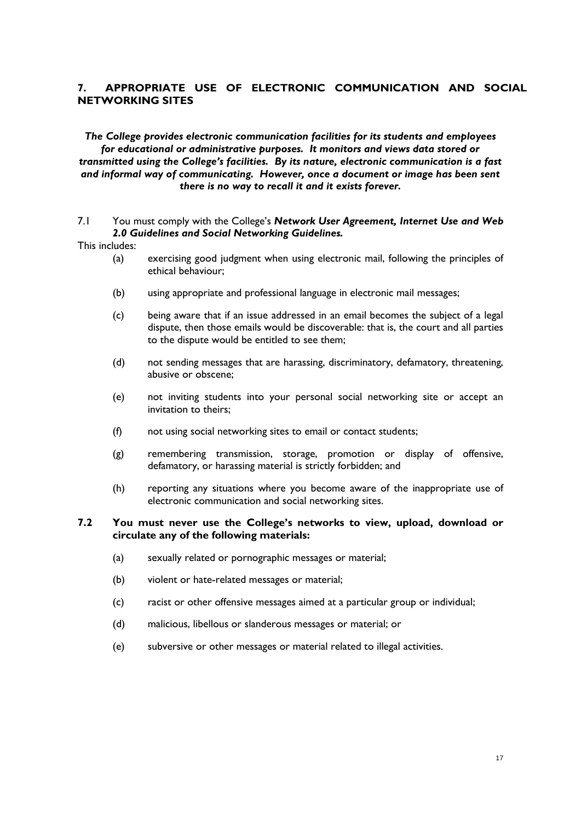# **7. APPROPRIATE USE OF ELECTRONIC COMMUNICATION AND SOCIAL NETWORKING SITES**

*The College provides electronic communication facilities for its students and employees for educational or administrative purposes. It monitors and views data stored or transmitted using the College's facilities. By its nature, electronic communication is a fast and informal way of communicating. However, once a document or image has been sent there is no way to recall it and it exists forever.*

#### 7.1 You must comply with the College's *Network User Agreement, Internet Use and Web 2.0 Guidelines and Social Networking Guidelines.*

This includes:

- (a) exercising good judgment when using electronic mail, following the principles of ethical behaviour;
- (b) using appropriate and professional language in electronic mail messages;
- (c) being aware that if an issue addressed in an email becomes the subject of a legal dispute, then those emails would be discoverable: that is, the court and all parties to the dispute would be entitled to see them;
- (d) not sending messages that are harassing, discriminatory, defamatory, threatening, abusive or obscene;
- (e) not inviting students into your personal social networking site or accept an invitation to theirs;
- (f) not using social networking sites to email or contact students;
- (g) remembering transmission, storage, promotion or display of offensive, defamatory, or harassing material is strictly forbidden; and
- (h) reporting any situations where you become aware of the inappropriate use of electronic communication and social networking sites.

#### **7.2 You must never use the College's networks to view, upload, download or circulate any of the following materials:**

- (a) sexually related or pornographic messages or material;
- (b) violent or hate-related messages or material;
- (c) racist or other offensive messages aimed at a particular group or individual;
- (d) malicious, libellous or slanderous messages or material; or
- (e) subversive or other messages or material related to illegal activities.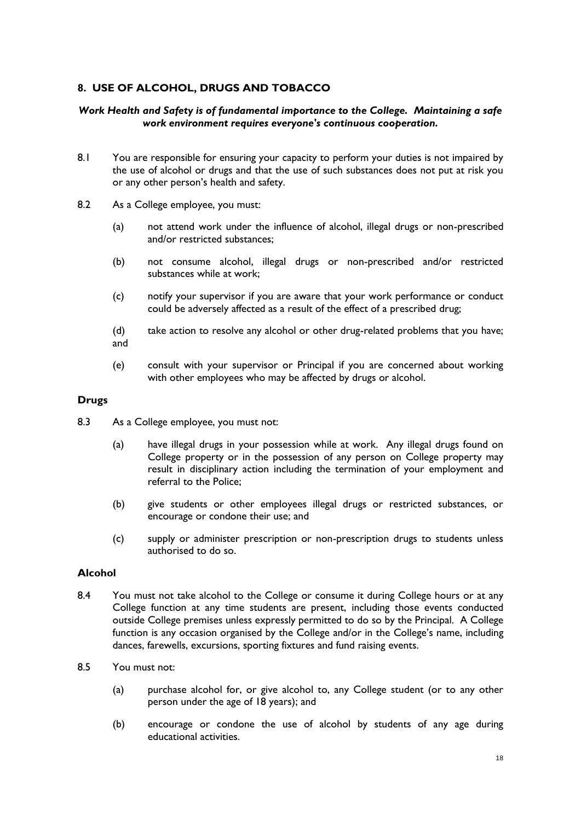# **8. USE OF ALCOHOL, DRUGS AND TOBACCO**

#### *Work Health and Safety is of fundamental importance to the College. Maintaining a safe work environment requires everyone's continuous cooperation.*

- 8.1 You are responsible for ensuring your capacity to perform your duties is not impaired by the use of alcohol or drugs and that the use of such substances does not put at risk you or any other person's health and safety.
- 8.2 As a College employee, you must:
	- (a) not attend work under the influence of alcohol, illegal drugs or non-prescribed and/or restricted substances;
	- (b) not consume alcohol, illegal drugs or non-prescribed and/or restricted substances while at work;
	- (c) notify your supervisor if you are aware that your work performance or conduct could be adversely affected as a result of the effect of a prescribed drug;
	- (d) take action to resolve any alcohol or other drug-related problems that you have; and
	- (e) consult with your supervisor or Principal if you are concerned about working with other employees who may be affected by drugs or alcohol.

#### **Drugs**

- 8.3 As a College employee, you must not:
	- (a) have illegal drugs in your possession while at work. Any illegal drugs found on College property or in the possession of any person on College property may result in disciplinary action including the termination of your employment and referral to the Police;
	- (b) give students or other employees illegal drugs or restricted substances, or encourage or condone their use; and
	- (c) supply or administer prescription or non-prescription drugs to students unless authorised to do so.

#### **Alcohol**

- 8.4 You must not take alcohol to the College or consume it during College hours or at any College function at any time students are present, including those events conducted outside College premises unless expressly permitted to do so by the Principal. A College function is any occasion organised by the College and/or in the College's name, including dances, farewells, excursions, sporting fixtures and fund raising events.
- 8.5 You must not:
	- (a) purchase alcohol for, or give alcohol to, any College student (or to any other person under the age of 18 years); and
	- (b) encourage or condone the use of alcohol by students of any age during educational activities.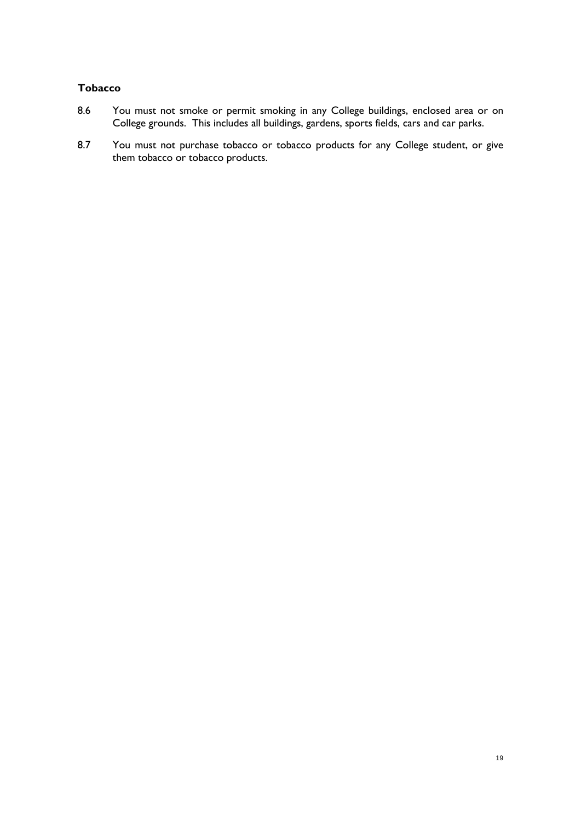# **Tobacco**

- 8.6 You must not smoke or permit smoking in any College buildings, enclosed area or on College grounds. This includes all buildings, gardens, sports fields, cars and car parks.
- 8.7 You must not purchase tobacco or tobacco products for any College student, or give them tobacco or tobacco products.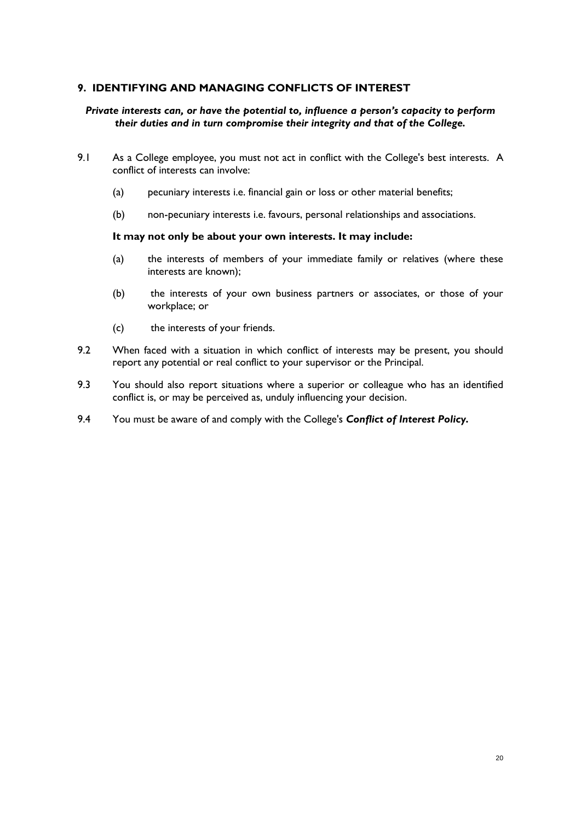# **9. IDENTIFYING AND MANAGING CONFLICTS OF INTEREST**

## *Private interests can, or have the potential to, influence a person's capacity to perform their duties and in turn compromise their integrity and that of the College.*

- 9.1 As a College employee, you must not act in conflict with the College's best interests. A conflict of interests can involve:
	- (a) pecuniary interests i.e. financial gain or loss or other material benefits;
	- (b) non-pecuniary interests i.e. favours, personal relationships and associations.

## **It may not only be about your own interests. It may include:**

- (a) the interests of members of your immediate family or relatives (where these interests are known);
- (b) the interests of your own business partners or associates, or those of your workplace; or
- (c) the interests of your friends.
- 9.2 When faced with a situation in which conflict of interests may be present, you should report any potential or real conflict to your supervisor or the Principal.
- 9.3 You should also report situations where a superior or colleague who has an identified conflict is, or may be perceived as, unduly influencing your decision.
- 9.4 You must be aware of and comply with the College's *Conflict of Interest Policy.*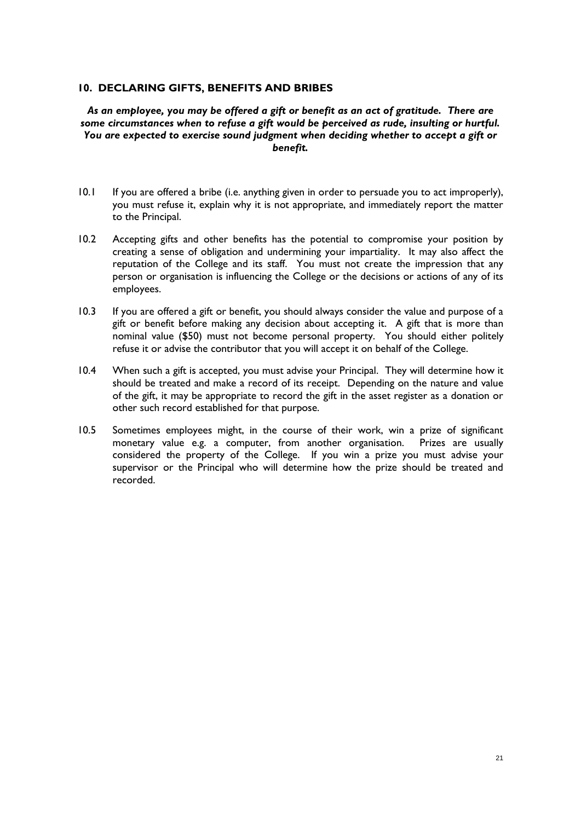#### **10. DECLARING GIFTS, BENEFITS AND BRIBES**

*As an employee, you may be offered a gift or benefit as an act of gratitude. There are some circumstances when to refuse a gift would be perceived as rude, insulting or hurtful. You are expected to exercise sound judgment when deciding whether to accept a gift or benefit.*

- 10.1 If you are offered a bribe (i.e. anything given in order to persuade you to act improperly), you must refuse it, explain why it is not appropriate, and immediately report the matter to the Principal.
- 10.2 Accepting gifts and other benefits has the potential to compromise your position by creating a sense of obligation and undermining your impartiality. It may also affect the reputation of the College and its staff. You must not create the impression that any person or organisation is influencing the College or the decisions or actions of any of its employees.
- 10.3 If you are offered a gift or benefit, you should always consider the value and purpose of a gift or benefit before making any decision about accepting it. A gift that is more than nominal value (\$50) must not become personal property. You should either politely refuse it or advise the contributor that you will accept it on behalf of the College.
- 10.4 When such a gift is accepted, you must advise your Principal. They will determine how it should be treated and make a record of its receipt. Depending on the nature and value of the gift, it may be appropriate to record the gift in the asset register as a donation or other such record established for that purpose.
- 10.5 Sometimes employees might, in the course of their work, win a prize of significant monetary value e.g. a computer, from another organisation. Prizes are usually considered the property of the College. If you win a prize you must advise your supervisor or the Principal who will determine how the prize should be treated and recorded.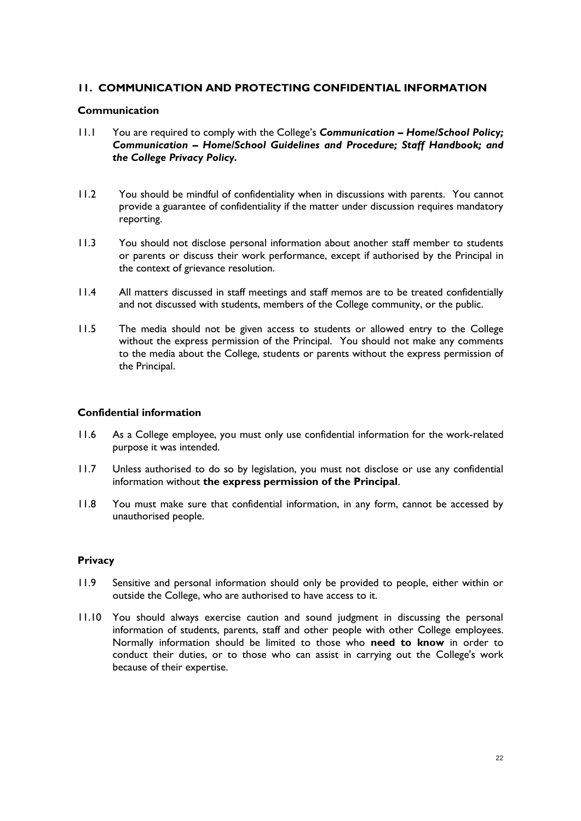# **11. COMMUNICATION AND PROTECTING CONFIDENTIAL INFORMATION**

#### **Communication**

- 11.1 You are required to comply with the College's *Communication – Home/School Policy; Communication – Home/School Guidelines and Procedure; Staff Handbook; and the College Privacy Policy.*
- 11.2 You should be mindful of confidentiality when in discussions with parents. You cannot provide a guarantee of confidentiality if the matter under discussion requires mandatory reporting.
- 11.3 You should not disclose personal information about another staff member to students or parents or discuss their work performance, except if authorised by the Principal in the context of grievance resolution.
- 11.4 All matters discussed in staff meetings and staff memos are to be treated confidentially and not discussed with students, members of the College community, or the public.
- 11.5 The media should not be given access to students or allowed entry to the College without the express permission of the Principal. You should not make any comments to the media about the College, students or parents without the express permission of the Principal.

#### **Confidential information**

- 11.6 As a College employee, you must only use confidential information for the work-related purpose it was intended.
- 11.7 Unless authorised to do so by legislation, you must not disclose or use any confidential information without **the express permission of the Principal**.
- 11.8 You must make sure that confidential information, in any form, cannot be accessed by unauthorised people.

#### **Privacy**

- 11.9 Sensitive and personal information should only be provided to people, either within or outside the College, who are authorised to have access to it.
- 11.10 You should always exercise caution and sound judgment in discussing the personal information of students, parents, staff and other people with other College employees. Normally information should be limited to those who **need to know** in order to conduct their duties, or to those who can assist in carrying out the College's work because of their expertise.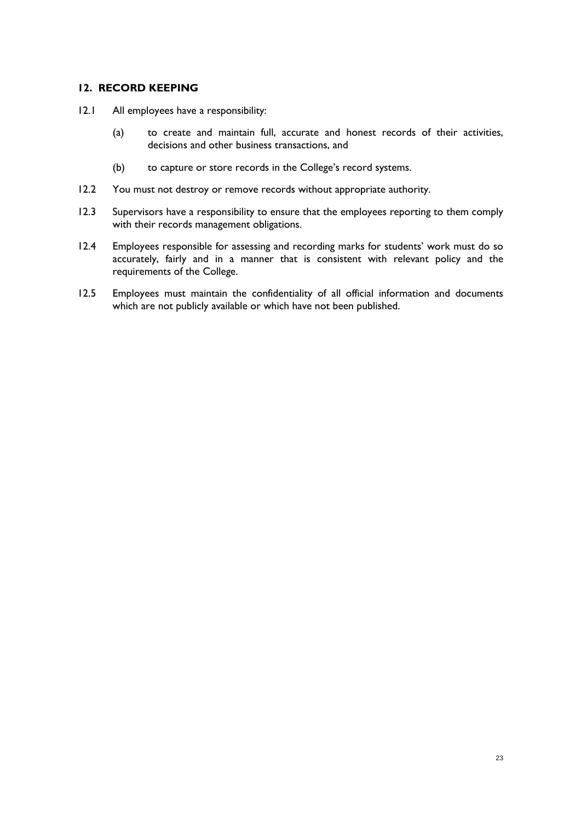## **12. RECORD KEEPING**

- 12.1 All employees have a responsibility:
	- (a) to create and maintain full, accurate and honest records of their activities, decisions and other business transactions, and
	- (b) to capture or store records in the College's record systems.
- 12.2 You must not destroy or remove records without appropriate authority.
- 12.3 Supervisors have a responsibility to ensure that the employees reporting to them comply with their records management obligations.
- 12.4 Employees responsible for assessing and recording marks for students' work must do so accurately, fairly and in a manner that is consistent with relevant policy and the requirements of the College.
- 12.5 Employees must maintain the confidentiality of all official information and documents which are not publicly available or which have not been published.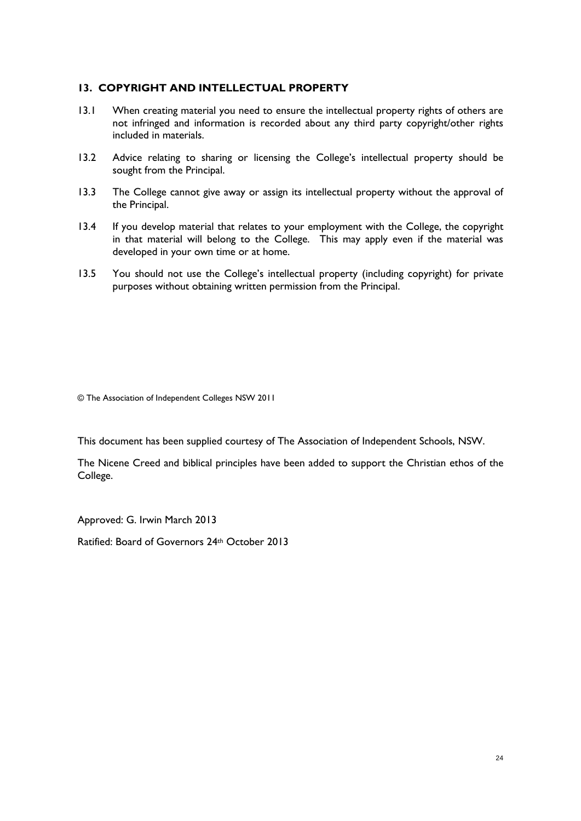# **13. COPYRIGHT AND INTELLECTUAL PROPERTY**

- 13.1 When creating material you need to ensure the intellectual property rights of others are not infringed and information is recorded about any third party copyright/other rights included in materials.
- 13.2 Advice relating to sharing or licensing the College's intellectual property should be sought from the Principal.
- 13.3 The College cannot give away or assign its intellectual property without the approval of the Principal.
- 13.4 If you develop material that relates to your employment with the College, the copyright in that material will belong to the College. This may apply even if the material was developed in your own time or at home.
- 13.5 You should not use the College's intellectual property (including copyright) for private purposes without obtaining written permission from the Principal.

© The Association of Independent Colleges NSW 2011

This document has been supplied courtesy of The Association of Independent Schools, NSW.

The Nicene Creed and biblical principles have been added to support the Christian ethos of the College.

Approved: G. Irwin March 2013

Ratified: Board of Governors 24th October 2013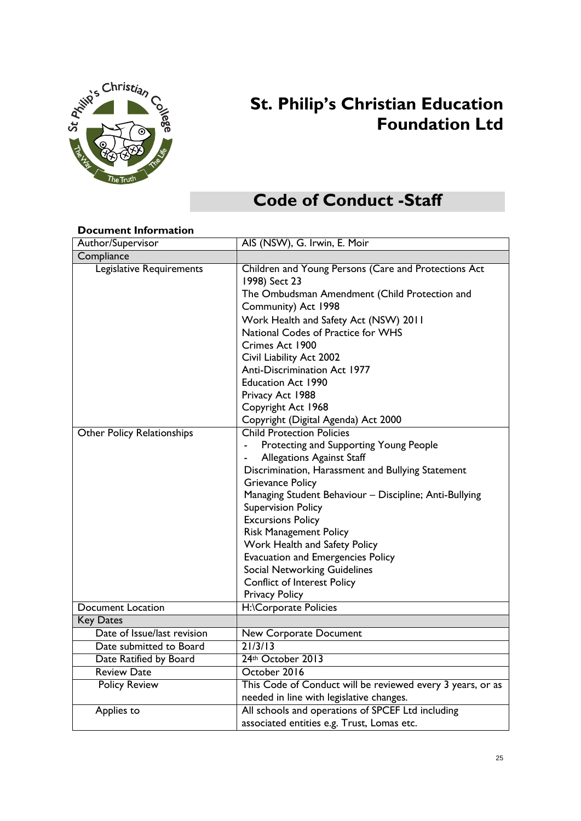

# **St. Philip's Christian Education Foundation Ltd**

# **Code of Conduct -Staff**

# **Document Information**

| Author/Supervisor                               | AIS (NSW), G. Irwin, E. Moir                                          |
|-------------------------------------------------|-----------------------------------------------------------------------|
| Compliance                                      |                                                                       |
| Legislative Requirements                        | Children and Young Persons (Care and Protections Act<br>1998) Sect 23 |
|                                                 | The Ombudsman Amendment (Child Protection and                         |
|                                                 | Community) Act 1998                                                   |
|                                                 | Work Health and Safety Act (NSW) 2011                                 |
|                                                 | National Codes of Practice for WHS                                    |
|                                                 | Crimes Act 1900                                                       |
|                                                 | Civil Liability Act 2002                                              |
|                                                 | Anti-Discrimination Act 1977                                          |
|                                                 | <b>Education Act 1990</b>                                             |
|                                                 | Privacy Act 1988                                                      |
|                                                 | Copyright Act 1968                                                    |
|                                                 | Copyright (Digital Agenda) Act 2000                                   |
| <b>Other Policy Relationships</b>               | <b>Child Protection Policies</b>                                      |
|                                                 | Protecting and Supporting Young People                                |
|                                                 | <b>Allegations Against Staff</b>                                      |
|                                                 | Discrimination, Harassment and Bullying Statement                     |
|                                                 | <b>Grievance Policy</b>                                               |
|                                                 | Managing Student Behaviour - Discipline; Anti-Bullying                |
|                                                 | <b>Supervision Policy</b>                                             |
|                                                 | <b>Excursions Policy</b>                                              |
|                                                 | <b>Risk Management Policy</b>                                         |
|                                                 | Work Health and Safety Policy                                         |
|                                                 | <b>Evacuation and Emergencies Policy</b>                              |
|                                                 | <b>Social Networking Guidelines</b>                                   |
|                                                 | <b>Conflict of Interest Policy</b>                                    |
|                                                 | Privacy Policy                                                        |
| <b>Document Location</b>                        | H:\Corporate Policies                                                 |
| <b>Key Dates</b><br>Date of Issue/last revision |                                                                       |
|                                                 | New Corporate Document                                                |
| Date submitted to Board                         | 21/3/13                                                               |
| Date Ratified by Board                          | 24th October 2013                                                     |
| <b>Review Date</b>                              | October 2016                                                          |
| <b>Policy Review</b>                            | This Code of Conduct will be reviewed every 3 years, or as            |
|                                                 | needed in line with legislative changes.                              |
| Applies to                                      | All schools and operations of SPCEF Ltd including                     |
|                                                 | associated entities e.g. Trust, Lomas etc.                            |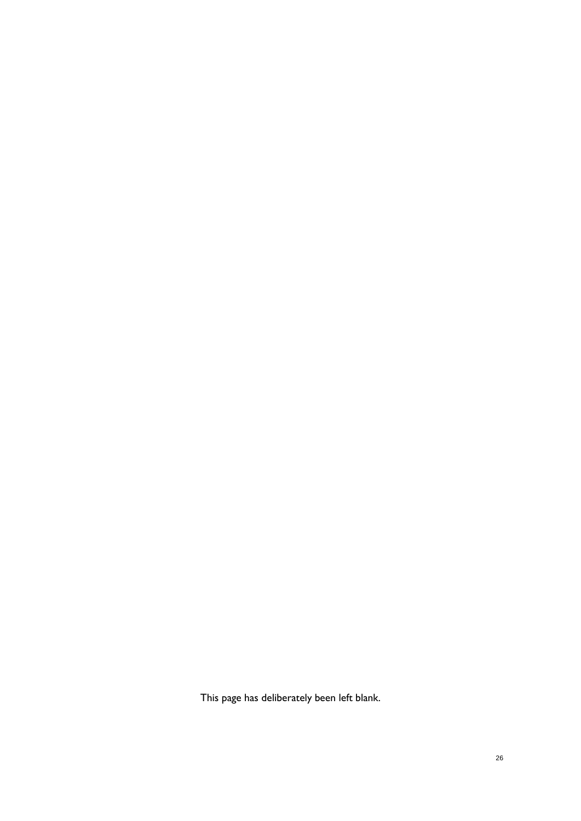This page has deliberately been left blank.